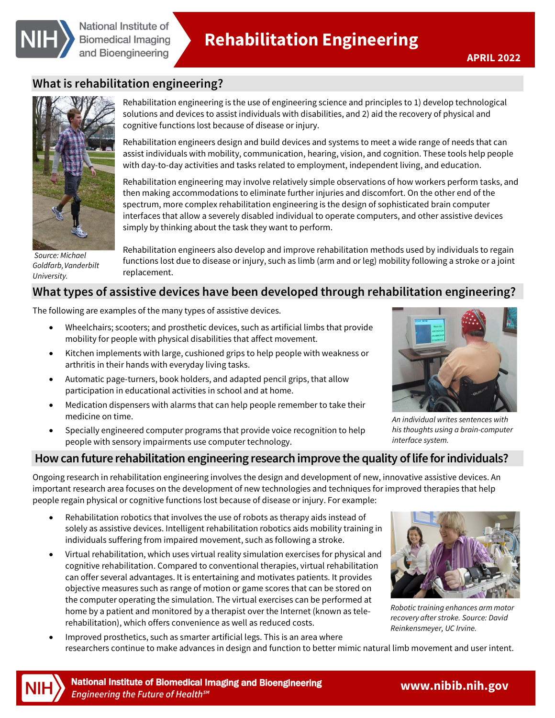

# **What is rehabilitation engineering?**



*Source: Michael Goldfarb, Vanderbilt University.* 

Rehabilitation engineering is the use of engineering science and principles to 1) develop technological solutions and devices to assist individuals with disabilities, and 2) aid the recovery of physical and cognitive functions lost because of disease or injury.

Rehabilitation engineers design and build devices and systems to meet a wide range of needs that can assist individuals with mobility, communication, hearing, vision, and cognition. These tools help people with day-to-day activities and tasks related to employment, independent living, and education.

Rehabilitation engineering may involve relatively simple observations of how workers perform tasks, and then making accommodations to eliminate further injuries and discomfort. On the other end of the spectrum, more complex rehabilitation engineering is the design of sophisticated brain computer interfaces that allow a severely disabled individual to operate computers, and other assistive devices simply by thinking about the task they want to perform.

Rehabilitation engineers also develop and improve rehabilitation methods used by individuals to regain functions lost due to disease or injury, such as limb (arm and or leg) mobility following a stroke or a joint replacement.

# **What types of assistive devices have been developed through rehabilitation engineering?**

The following are examples of the many types of assistive devices.

- Wheelchairs; scooters; and prosthetic devices, such as artificial limbs that provide mobility for people with physical disabilities that affect movement.
- Kitchen implements with large, cushioned grips to help people with weakness or arthritis in their hands with everyday living tasks.
- Automatic page-turners, book holders, and adapted pencil grips, that allow participation in educational activities in school and at home.
- Medication dispensers with alarms that can help people remember to take their medicine on time.
- Specially engineered computer programs that provide voice recognition to help people with sensory impairments use computer technology.



*An individual writes sentences with his thoughts using a brain-computer interface system.* 

## **How can future rehabilitation engineering research improve the quality of life for individuals?**

Ongoing research in rehabilitation engineering involves the design and development of new, innovative assistive devices. An important research area focuses on the development of new technologies and techniques for improved therapies that help people regain physical or cognitive functions lost because of disease or injury. For example:

- Rehabilitation robotics that involves the use of robots as therapy aids instead of solely as assistive devices. Intelligent rehabilitation robotics aids mobility training in individuals suffering from impaired movement, such as following a stroke.
- Virtual rehabilitation, which uses virtual reality simulation exercises for physical and cognitive rehabilitation. Compared to conventional therapies, virtual rehabilitation can offer several advantages. It is entertaining and motivates patients. It provides objective measures such as range of motion or game scores that can be stored on the computer operating the simulation. The virtual exercises can be performed at home by a patient and monitored by a therapist over the Internet (known as telerehabilitation), which offers convenience as well as reduced costs.



*Robotic training enhances arm motor recovery after stroke. Source: David Reinkensmeyer, UC Irvine.* 

• Improved prosthetics, such as smarter artificial legs. This is an area where researchers continue to make advances in design and function to better mimic natural limb movement and user intent.